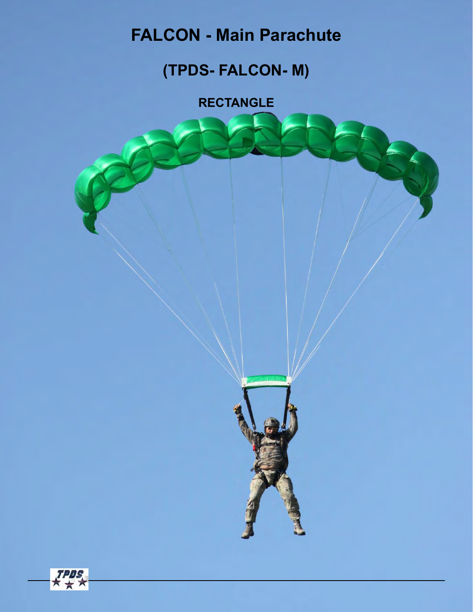# **FALCON - Main Parachute**

## **(TPDS- FALCON- M)**

**RECTANGLE** 



 $\frac{TPD}{\pi}$ 

★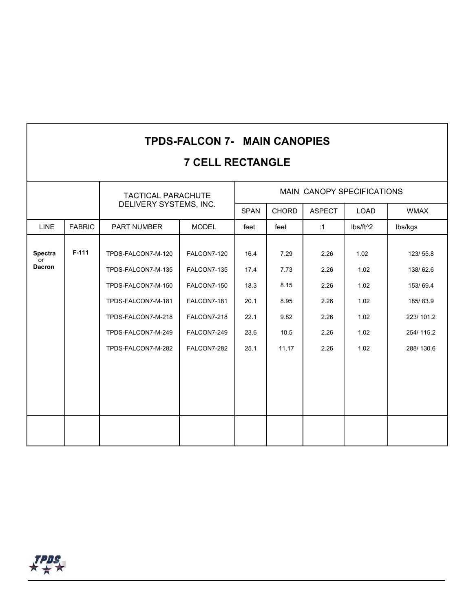#### **TPDS-FALCON 7- MAIN CANOPIES**

#### **7 CELL RECTANGLE**

|                                       |               | <b>TACTICAL PARACHUTE</b><br>DELIVERY SYSTEMS, INC.                                                                                                    |                                                                                                       | MAIN CANOPY SPECIFICATIONS                           |                                                       |                                                      |                                                      |                                                                                     |  |  |
|---------------------------------------|---------------|--------------------------------------------------------------------------------------------------------------------------------------------------------|-------------------------------------------------------------------------------------------------------|------------------------------------------------------|-------------------------------------------------------|------------------------------------------------------|------------------------------------------------------|-------------------------------------------------------------------------------------|--|--|
|                                       |               |                                                                                                                                                        |                                                                                                       | <b>SPAN</b>                                          | <b>CHORD</b>                                          | <b>ASPECT</b>                                        | <b>LOAD</b>                                          | <b>WMAX</b>                                                                         |  |  |
| <b>LINE</b>                           | <b>FABRIC</b> | PART NUMBER                                                                                                                                            | <b>MODEL</b>                                                                                          | feet                                                 | feet                                                  | :1                                                   | lbs/ft^2                                             | lbs/kgs                                                                             |  |  |
| <b>Spectra</b><br>or<br><b>Dacron</b> | $F-111$       | TPDS-FALCON7-M-120<br>TPDS-FALCON7-M-135<br>TPDS-FALCON7-M-150<br>TPDS-FALCON7-M-181<br>TPDS-FALCON7-M-218<br>TPDS-FALCON7-M-249<br>TPDS-FALCON7-M-282 | FALCON7-120<br>FALCON7-135<br>FALCON7-150<br>FALCON7-181<br>FALCON7-218<br>FALCON7-249<br>FALCON7-282 | 16.4<br>17.4<br>18.3<br>20.1<br>22.1<br>23.6<br>25.1 | 7.29<br>7.73<br>8.15<br>8.95<br>9.82<br>10.5<br>11.17 | 2.26<br>2.26<br>2.26<br>2.26<br>2.26<br>2.26<br>2.26 | 1.02<br>1.02<br>1.02<br>1.02<br>1.02<br>1.02<br>1.02 | 123/55.8<br>138/62.6<br>153/69.4<br>185/83.9<br>223/101.2<br>254/115.2<br>288/130.6 |  |  |
|                                       |               |                                                                                                                                                        |                                                                                                       |                                                      |                                                       |                                                      |                                                      |                                                                                     |  |  |

 $H^{\text{PDS}}_{\star}$